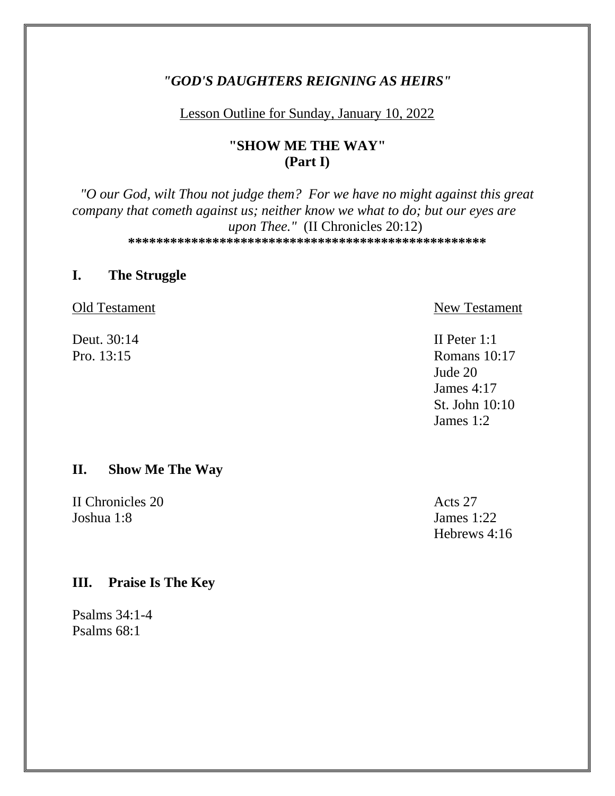# "GOD'S DAUGHTERS REIGNING AS HEIRS"

### Lesson Outline for Sunday, January 10, 2022

# "SHOW ME THE WAY"  $(Part I)$

"O our God, wilt Thou not judge them? For we have no might against this great company that cometh against us; neither know we what to do; but our eyes are upon Thee." (II Chronicles 20:12) 

#### **The Struggle**  $\mathbf{I}$ .

Old Testament

Deut. 30:14 Pro.  $13:15$ 

New Testament

II Peter  $1:1$ **Romans** 10:17 Jude 20 James  $4:17$ St. John  $10:10$ James  $1:2$ 

#### II. **Show Me The Way**

**II** Chronicles 20 Joshua  $1:8$ 

Acts 27 James  $1:22$ Hebrews 4:16

#### **Praise Is The Key** III.

Psalms  $34:1-4$ Psalms  $68:1$